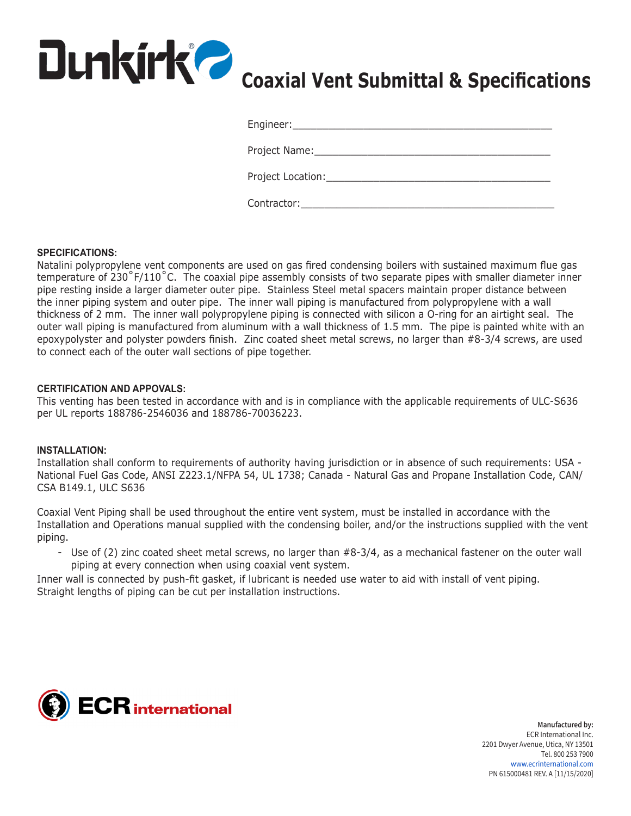

| Engineer:_____________________ |  |
|--------------------------------|--|
| Project Name:                  |  |
| Project Location:              |  |
| Contractor:                    |  |

### **SPECIFICATIONS:**

Natalini polypropylene vent components are used on gas fired condensing boilers with sustained maximum flue gas temperature of 230°F/110°C. The coaxial pipe assembly consists of two separate pipes with smaller diameter inner pipe resting inside a larger diameter outer pipe. Stainless Steel metal spacers maintain proper distance between the inner piping system and outer pipe. The inner wall piping is manufactured from polypropylene with a wall thickness of 2 mm. The inner wall polypropylene piping is connected with silicon a O-ring for an airtight seal. The outer wall piping is manufactured from aluminum with a wall thickness of 1.5 mm. The pipe is painted white with an epoxypolyster and polyster powders finish. Zinc coated sheet metal screws, no larger than #8-3/4 screws, are used to connect each of the outer wall sections of pipe together.

### **CERTIFICATION AND APPOVALS:**

This venting has been tested in accordance with and is in compliance with the applicable requirements of ULC-S636 per UL reports 188786-2546036 and 188786-70036223.

#### **INSTALLATION:**

Installation shall conform to requirements of authority having jurisdiction or in absence of such requirements: USA - National Fuel Gas Code, ANSI Z223.1/NFPA 54, UL 1738; Canada - Natural Gas and Propane Installation Code, CAN/ CSA B149.1, ULC S636

Coaxial Vent Piping shall be used throughout the entire vent system, must be installed in accordance with the Installation and Operations manual supplied with the condensing boiler, and/or the instructions supplied with the vent piping.

- Use of (2) zinc coated sheet metal screws, no larger than #8-3/4, as a mechanical fastener on the outer wall piping at every connection when using coaxial vent system.

Inner wall is connected by push-fit gasket, if lubricant is needed use water to aid with install of vent piping. Straight lengths of piping can be cut per installation instructions.



**Manufactured by:** ECR International Inc. 2201 Dwyer Avenue, Utica, NY 13501 Tel. 800 253 7900 www.ecrinternational.com PN 615000481 REV. A [11/15/2020]